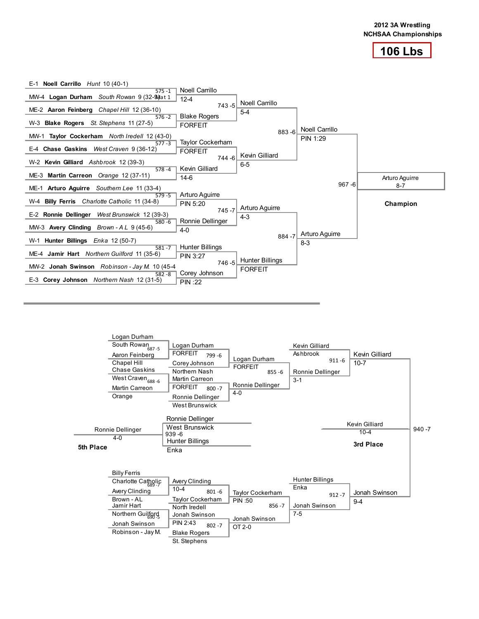



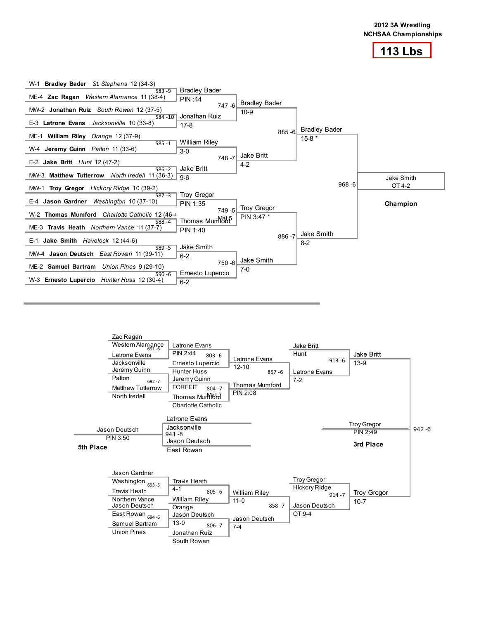



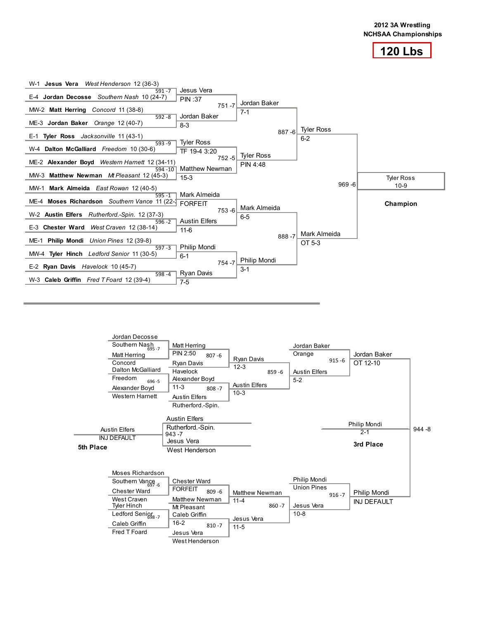



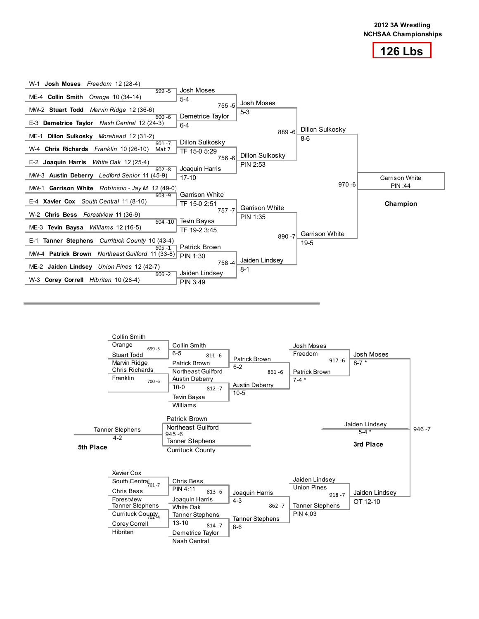



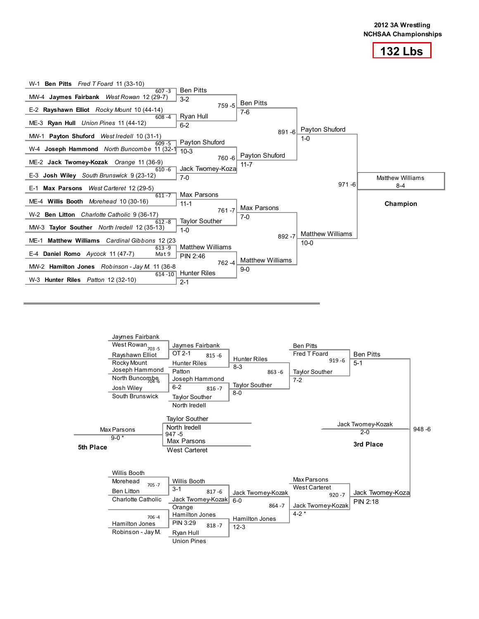



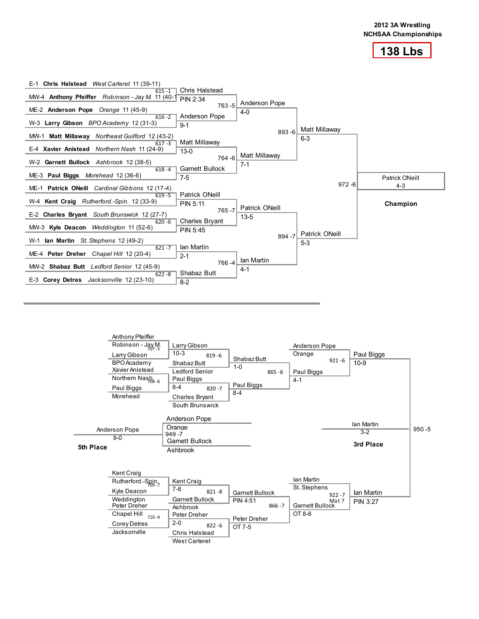



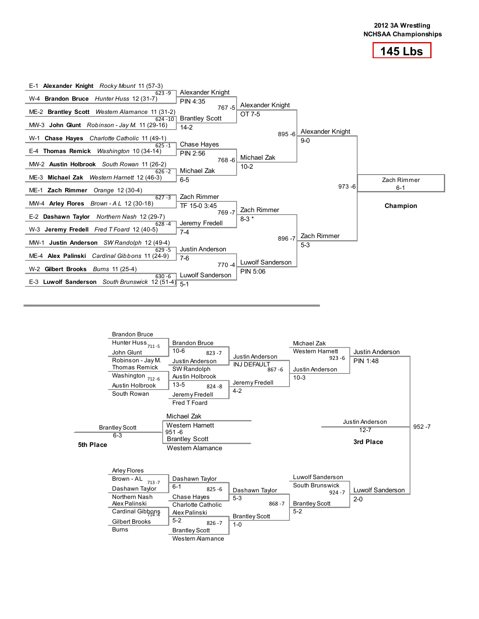



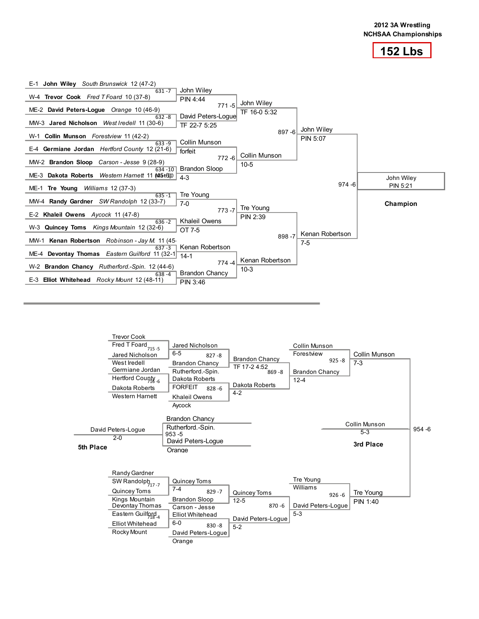



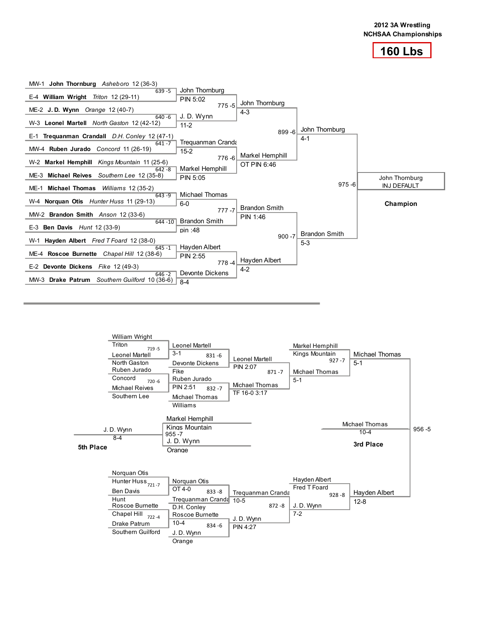



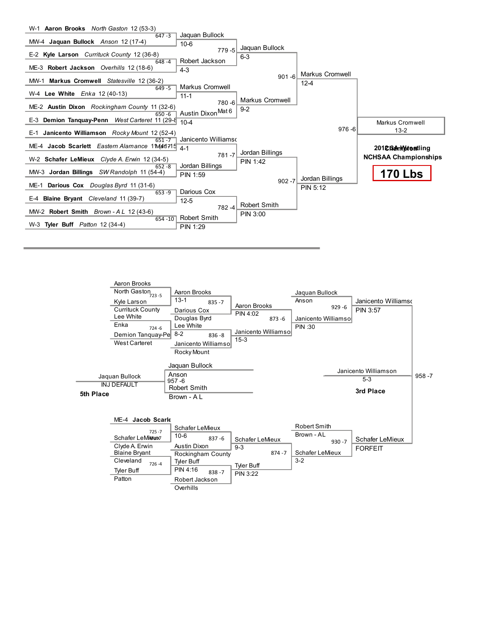

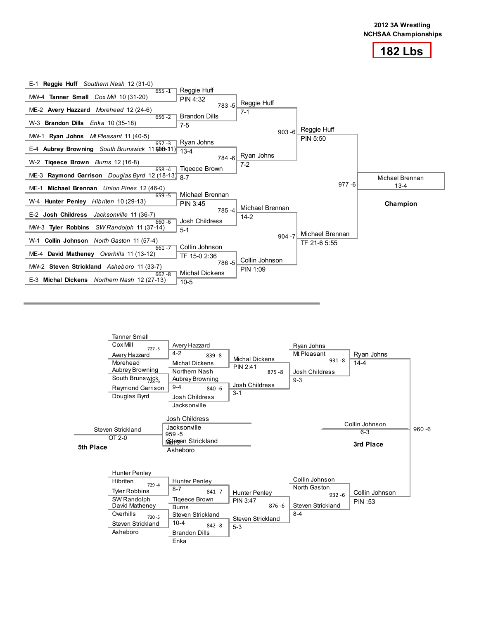



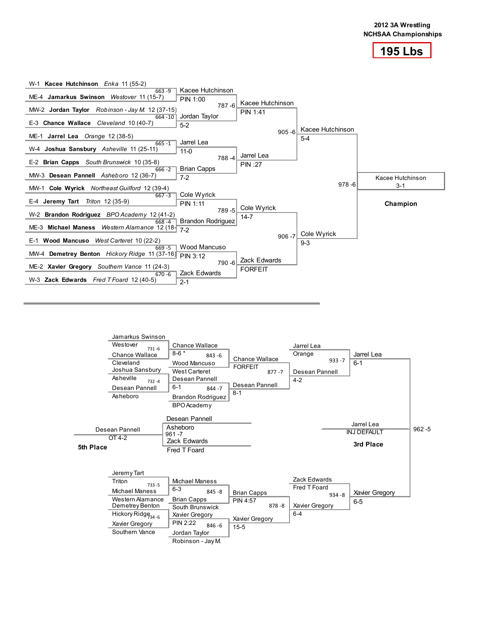



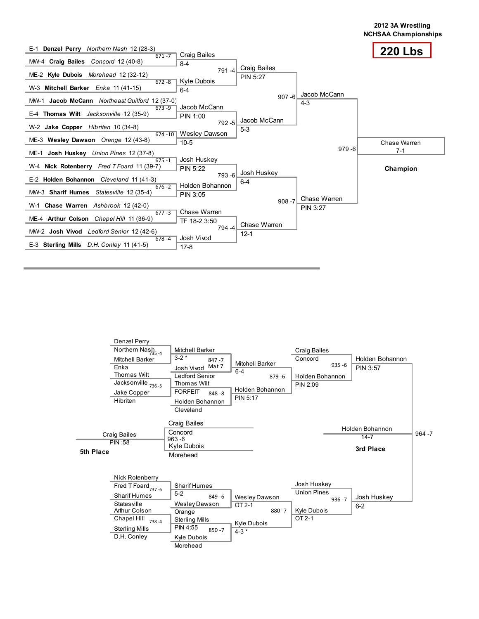